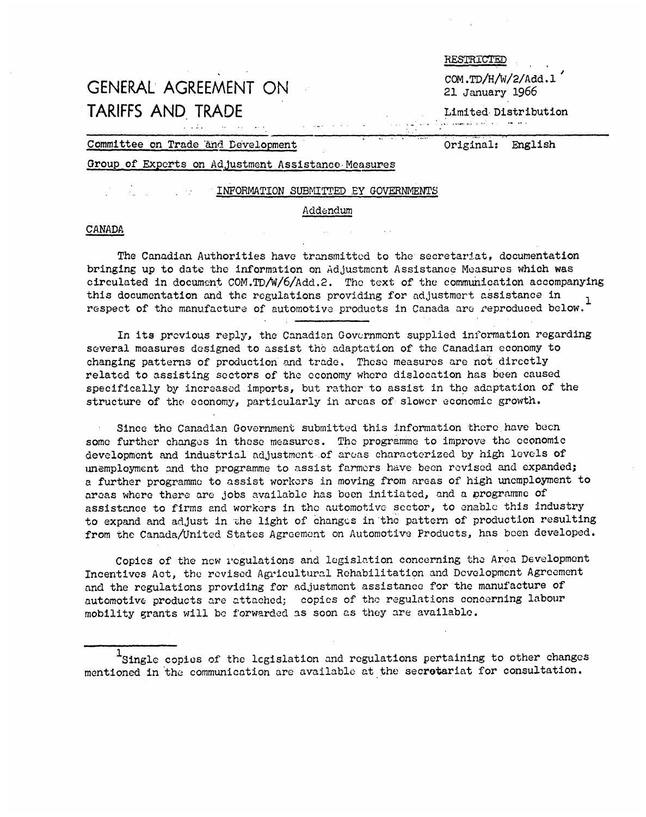# COM.TD/H/W/2/Add.1<br>CENERAL AGREEMENT ON 21 January 1966 TARIFFS AND TRADE Limited Distribution

**RESTRICTED** 

## Committee on Trade and Development Original: English

# Group of Exports on Adjustment Assistance Measures

## INFORMATION SUBMITTED BY GOVERNMENTS

## Addendum

## CANADA

The Canadian Authorities have transmitted to the secretariat, documentation bringing up to date the information on Adjustment Assistance Measures which was circulated in document COM.TD/W/6/Add.2. The text of the communication accompanying this documentation and the regulations providing for adjustment assistance in respect of the manufacture of automotive products in Canada are reproduced below.

In its previous reply, the Canadian Government supplied information regarding several measures designed to assist the adaptation of the Canadian economy to changing patterns of production and trade. These measures are not directly related to assisting sectors of the economy where dislocation has been caused specifically by increased imports, but rather to assist in the adaptation of the structure of the economy, particularly in areas of slower economic growth.

Since the Canadian Government submitted this information there have been some further changes in these measures. The programme to improve the economic development and industrial adjustment of areas characterized by high levels of unemployment and the programme to assist farmers have been revised and expanded; a further programme to assist workers in moving from areas of high unemployment to areas where there are jobs available has been initiated, and a programme of assistance to firms and workers in the automotive sector, to enable this industry to expand and adjust in the light of changes in the pattern of production resulting from the Canada/United States Agreement on Automotive Products, has been developed.

Copies of the new regulations and legislation concerning the Area Development Incentives Act, the revised Agricultural Rehabilitation and Development Agreement and the regulations providing for adjustment assistance for the manufacture of automotive products are attached; copies of the regulations concerning labour mobility grants will be forwarded as soon as they are available.

<sup>1</sup>Single copies of the legislation and regulations pertaining to other changes mentioned in the communication are available at the secretariat for consultation.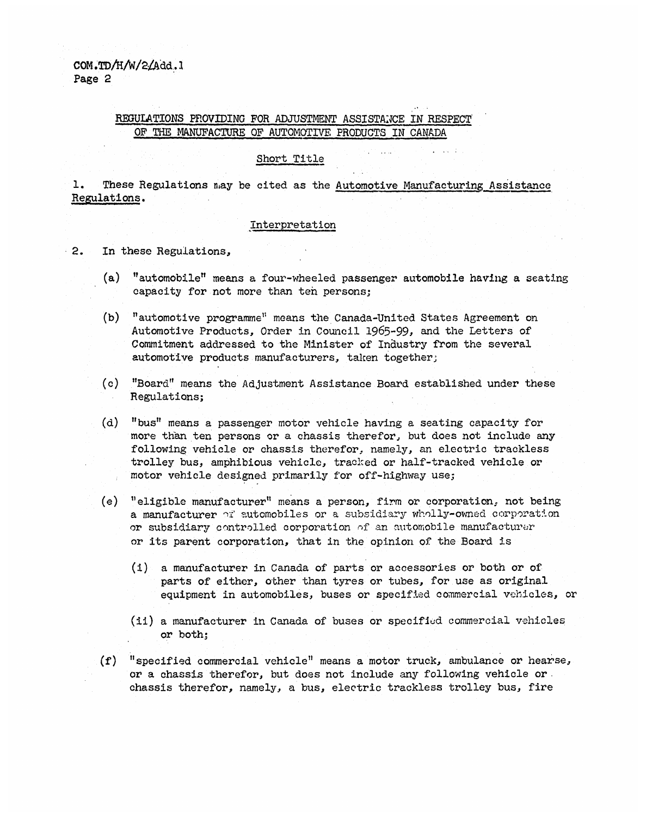COM .TD/H/W/2/Add.1 Page 2

# REGULATIONS PROVIDING FOR ADJUSTMENT ASSISTANCE IN RESPECT OF THE MANUFACTURE OF AUTOMOTIVE PRODUCTS IN CANADA

## Short Title

1. These Regulations may be cited as the Automotive Manufacturing Assistance Regulations.

# interpretation

- 2. In these Regulations,
	- (a) "automobile" means a four-wheeled passenger automobile having a seating capacity for not more than ten persons;
	- (b) "automotive programme'; means the Canada-United States Agreement on Automotive Products, Order in Council 1965-99, and the Letters of Commitment addressed to the Minister of Industry from the several automotive products manufacturers, taken together;
	- (c) "Board" means the Adjustment Assistance Board established under these Regulations;
	- (d) "bus" means a passenger motor vehicle having a seating capacity for more than ten persons or a chassis therefor, but does not include any following vehicle or chassis therefor, namely, an electric trackless trolley bus, amphibious vehicle, tracked or half-tracked vehicle or motor vehicle designed primarily for off-highway use;
	- (e) "eligible manufacturer" means a person, firm or corporation, not being a manufacturer or automobiles or a subsidiary wholly-owned corporation or subsidiary controlled corporation of an automobile manufacturer or its parent corporation, that in the opinion of the Board is
		- (i) a manufacturer in Canada of parts or accessories or both or of parts of either, other than tyres or tubes, for use as original equipment in automobiles, buses or specified commercial vehicles, or
		- (ii) a manufacturer in Canada of buses or specified commercial vehicles or both;
	- (f) "specified commercial vehicle" means a motor truck, ambulance or hearse, or a chassis therefor, but does not include any following vehicle or chassis therefor, namely, a bus, electric trackless trolley bus, fire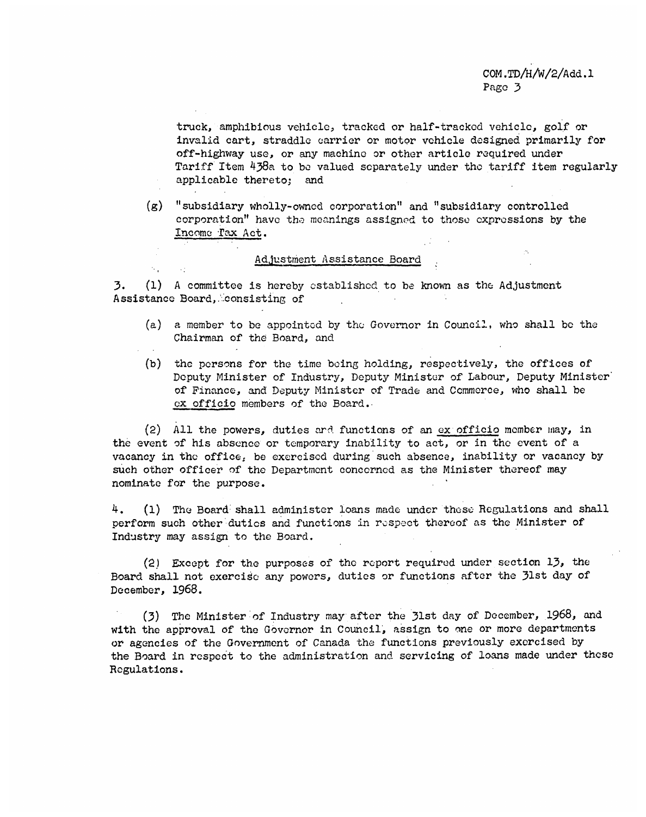truck, amphibious vehicle, tracked or half-tracked vehicle, golf or invalid cart, straddle carrier or motor vehicle designed primarily for off-highway use, or any machine or other article required under Tariff Item 438a to be valued separately under the tariff item regularly applicable thereto; and

(g) "subsidiary wholly-owned corporation" and "subsidiary controlled corporation" have the meanings assigned to those expressions by the Income Tax Act.

## Adjustment Assistance Board

 $\mathcal{H}_{\mathbf{q},\mathbf{r}}$ 

3. (1) A committee is hereby established to be known as the Adjustment Assistance Board, consisting of

- (a) a member to be appointed by the Governor in Council, who shall be the Chairman of the Board, and
- (b) the persons for the time being holding, respectively, the offices of Deputy Minister of Industry, Deputy Minister of Labour, Deputy Minister of Finance, and Deputy Minister of Trade and Commerce, who shall be ex officio members of the Board.

(2) All the powers, duties and functions of an ex officio member may, in the event of his absence or temporary inability to act, or in the event of a vacancy in the office, be exercised during such absence, inability or vacancy by such other officer of the Department concerned as the Minister thereof may nominate for the purpose.

4. (1) The Board shall administer loans made under these Regulations and shall perform such other duties and functions in respect thereof as the Minister of Industry may assign to the Board.

(2) Except for the purposes of the report required under section 13, the Board shall not exercise any powers, duties or functions after the 3lst day of December, 1968.

(3) The Minister of Industry may after the 31st day of December, 1968, and with the approval of the Governor in Council, assign to one or more departments or agencies of the Government of Canada the functions previously exorcised by the Board in respect to the administration and servicing of loans made under these Regulations.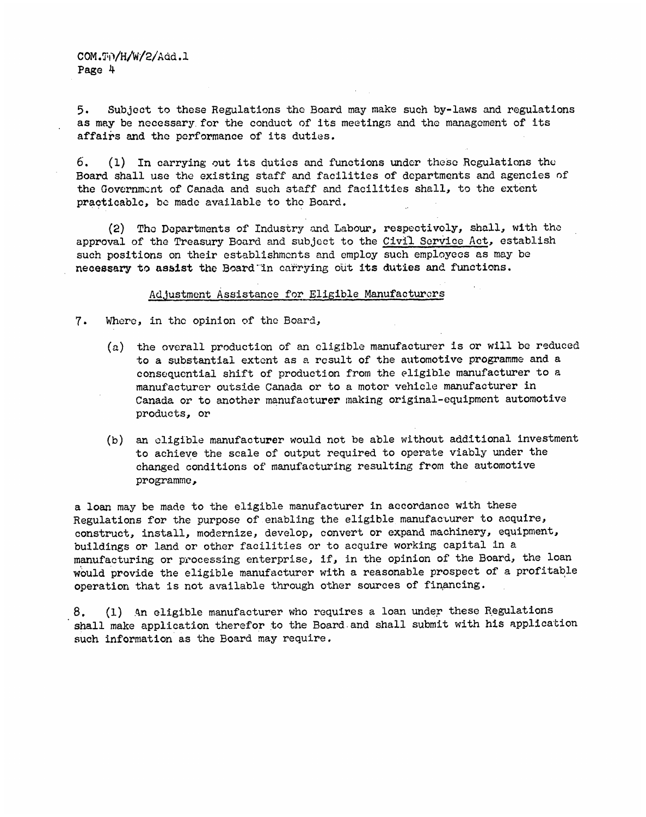5. Subject to these Regulations the Board may make such by-laws and regulations as may be necessary. for the conduct of its meetings and the management of its affairs and the performance of its duties.

6. (1) In carrying out its duties and functions under these Regulations the Board shall use the existing staff and facilities of departments and agencies of the Government of Canada and such staff and facilities shall, to the extent practicable, be made available to the Board.

(2) The Departments of Industry and Labour, respectively, shall, with the approval of the Treasury Board and subject to the Civil Service Act, establish such positions on their establishments and employ such employees as may be necessary to assist the Board in carrying out its duties and functions.

# Adjustment Assistance for Eligible Manufacturers

- 7. Where, in the opinion of the Board,
	- (a) the overall production of an cligible manufacturer is or will be reduced to a substantial extent as a result of the automotive programme and a consequential shift of production from the eligible manufacturer to a manufacturer outside Canada or to a motor vehicle manufacturer in Canada or to another manufacturer making original-equipment automotive products, or
	- (b) an eligible manufacturer would not be able without additional investment to achieve the scale of output required to operate viably under the changed conditions of manufacturing resulting from the automotive programme,

a loan may be made to the eligible manufacturer in accordance with these Regulations for the purpose of enabling the eligible manufacturer to acquire, construct, install, modernize, develop, convert or expand machinery, equipment, buildings or land or other facilities or to acquire working capital in a manufacturing or processing enterprise, if, in the opinion of the Board, the loan would provide the eligible manufacturer with a reasonable prospect of a profitable operation that is not available through other sources of financing.

8. (1) An eligible manufacturer who requires a loan under these Regulations shall make application therefor to the Board and shall submit with his application such information as the Board may require.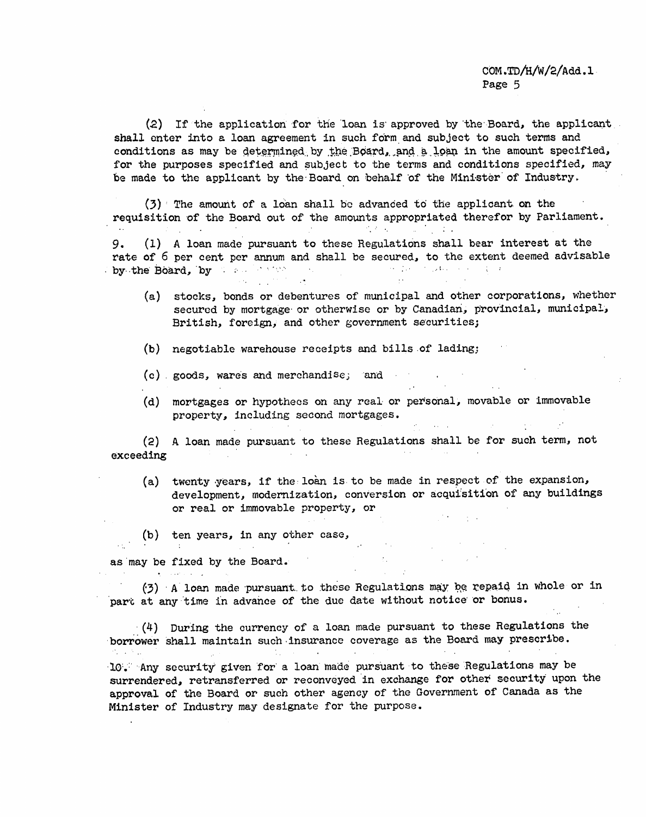COM.TD/H/W/2/Add.1 Page 5

 $\sim 1000$ 

(2) If the application for the loan is approved by the Board, the applicant shall enter into a loan agreement in such form and subject to such terms and conditions as may be determined by the Board, and a loan in the amount specified, for the purposes specified and subject to the terms and conditions specified, may be made to the applicant by the Board on behalf of the Minister of Industry.

 $(3)$  The amount of a loan shall be advanced to the applicant on the requisition of the Board out of the amounts appropriated therefor by Parliament.

9. (1) A loan made pursuant to these Regulations shall bear interest at the rate of 6 per cent per annum and shall be secured, to the extent deemed advisable by the Board, by we allowed the second contract with the second property of the second property of the second property of the second property of the second property of the second property of the second property of the seco

- (a) stocks, bonds or debentures of municipal and other corporations, whether secured by mortgage or otherwise or by Canadian, provincial, municipal, British, foreign, and other government securities;
- (b) negotiable warehouse receipts and bills of lading;
- (c) goods, wares and merchandise; and
- (d) mortgages or hypothecs on any real or personal, movable or immovable property, including second mortgages.

(2) A loan made pursuant to these Regulations shall be for such term, not exceeding

- (a) twenty years, if the loan is to be made in respect of the expansion, development, modernization, conversion or acquisition of any buildings or real or immovable property, or
- (b) ten years, in any other case,

and a state of

as may be fixed by the Board.

(3) A loan made pursuant to these Regulations may be repaid in whole or in part at any time in advance of the due date without notice or bonus.

(4) During the currency of a loan made pursuant to these Regulations the borrower shall maintain such insurance coverage as the Board may prescribe.

10. Any security given for a loan made pursuant to these Regulations may be surrendered, retransferred or reconveyed in exchange for other security upon the approval of the Board or such other agency of the Government of Canada as the Minister of Industry may designate for the purpose.